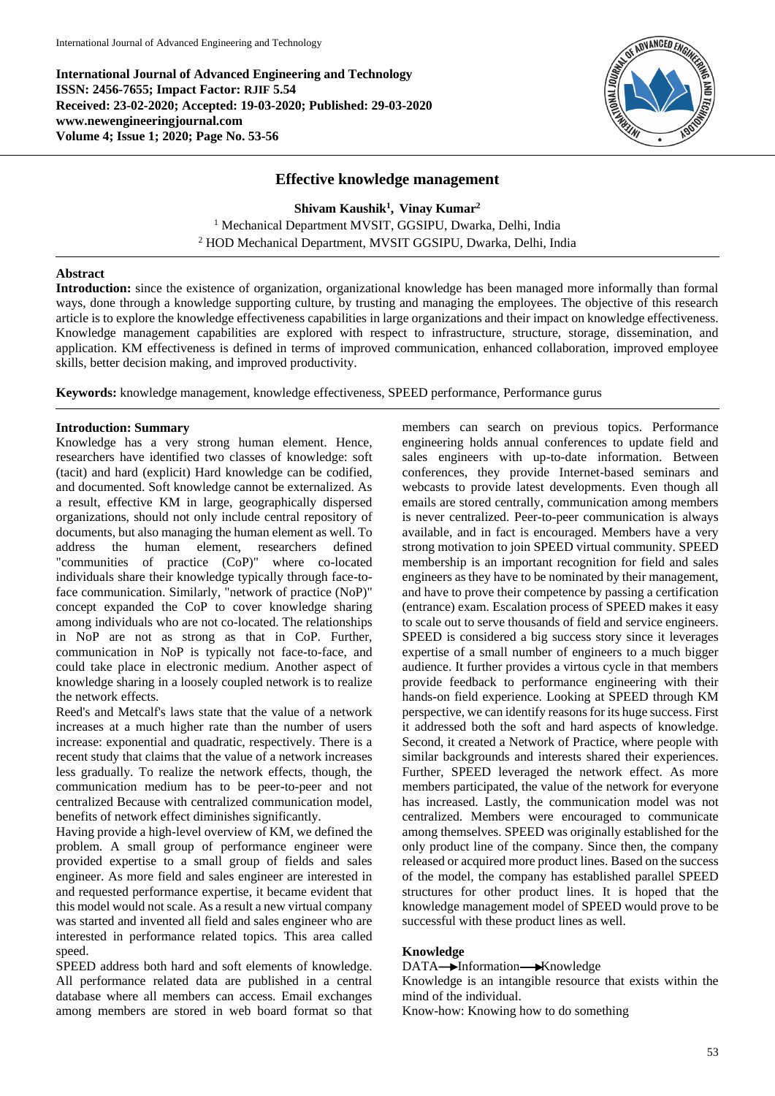**International Journal of Advanced Engineering and Technology ISSN: 2456-7655; Impact Factor: RJIF 5.54 Received: 23-02-2020; Accepted: 19-03-2020; Published: 29-03-2020 www.newengineeringjournal.com Volume 4; Issue 1; 2020; Page No. 53-56**



### **Effective knowledge management**

**Shivam Kaushik<sup>1</sup> , Vinay Kumar<sup>2</sup>** <sup>1</sup> Mechanical Department MVSIT, GGSIPU, Dwarka, Delhi, India <sup>2</sup> HOD Mechanical Department, MVSIT GGSIPU, Dwarka, Delhi, India

#### **Abstract**

**Introduction:** since the existence of organization, organizational knowledge has been managed more informally than formal ways, done through a knowledge supporting culture, by trusting and managing the employees. The objective of this research article is to explore the knowledge effectiveness capabilities in large organizations and their impact on knowledge effectiveness. Knowledge management capabilities are explored with respect to infrastructure, structure, storage, dissemination, and application. KM effectiveness is defined in terms of improved communication, enhanced collaboration, improved employee skills, better decision making, and improved productivity.

**Keywords:** knowledge management, knowledge effectiveness, SPEED performance, Performance gurus

#### **Introduction: Summary**

Knowledge has a very strong human element. Hence, researchers have identified two classes of knowledge: soft (tacit) and hard (explicit) Hard knowledge can be codified, and documented. Soft knowledge cannot be externalized. As a result, effective KM in large, geographically dispersed organizations, should not only include central repository of documents, but also managing the human element as well. To address the human element, researchers defined "communities of practice (CoP)" where co-located individuals share their knowledge typically through face-toface communication. Similarly, "network of practice (NoP)" concept expanded the CoP to cover knowledge sharing among individuals who are not co-located. The relationships in NoP are not as strong as that in CoP. Further, communication in NoP is typically not face-to-face, and could take place in electronic medium. Another aspect of knowledge sharing in a loosely coupled network is to realize the network effects.

Reed's and Metcalf's laws state that the value of a network increases at a much higher rate than the number of users increase: exponential and quadratic, respectively. There is a recent study that claims that the value of a network increases less gradually. To realize the network effects, though, the communication medium has to be peer-to-peer and not centralized Because with centralized communication model, benefits of network effect diminishes significantly.

Having provide a high-level overview of KM, we defined the problem. A small group of performance engineer were provided expertise to a small group of fields and sales engineer. As more field and sales engineer are interested in and requested performance expertise, it became evident that this model would not scale. As a result a new virtual company was started and invented all field and sales engineer who are interested in performance related topics. This area called speed.

SPEED address both hard and soft elements of knowledge. All performance related data are published in a central database where all members can access. Email exchanges among members are stored in web board format so that

members can search on previous topics. Performance engineering holds annual conferences to update field and sales engineers with up-to-date information. Between conferences, they provide Internet-based seminars and webcasts to provide latest developments. Even though all emails are stored centrally, communication among members is never centralized. Peer-to-peer communication is always available, and in fact is encouraged. Members have a very strong motivation to join SPEED virtual community. SPEED membership is an important recognition for field and sales engineers as they have to be nominated by their management, and have to prove their competence by passing a certification (entrance) exam. Escalation process of SPEED makes it easy to scale out to serve thousands of field and service engineers. SPEED is considered a big success story since it leverages expertise of a small number of engineers to a much bigger audience. It further provides a virtous cycle in that members provide feedback to performance engineering with their hands-on field experience. Looking at SPEED through KM perspective, we can identify reasons for its huge success. First it addressed both the soft and hard aspects of knowledge. Second, it created a Network of Practice, where people with similar backgrounds and interests shared their experiences. Further, SPEED leveraged the network effect. As more members participated, the value of the network for everyone has increased. Lastly, the communication model was not centralized. Members were encouraged to communicate among themselves. SPEED was originally established for the only product line of the company. Since then, the company released or acquired more product lines. Based on the success of the model, the company has established parallel SPEED structures for other product lines. It is hoped that the knowledge management model of SPEED would prove to be successful with these product lines as well.

### **Knowledge**

DATA-Information-Knowledge

Knowledge is an intangible resource that exists within the mind of the individual.

Know-how: Knowing how to do something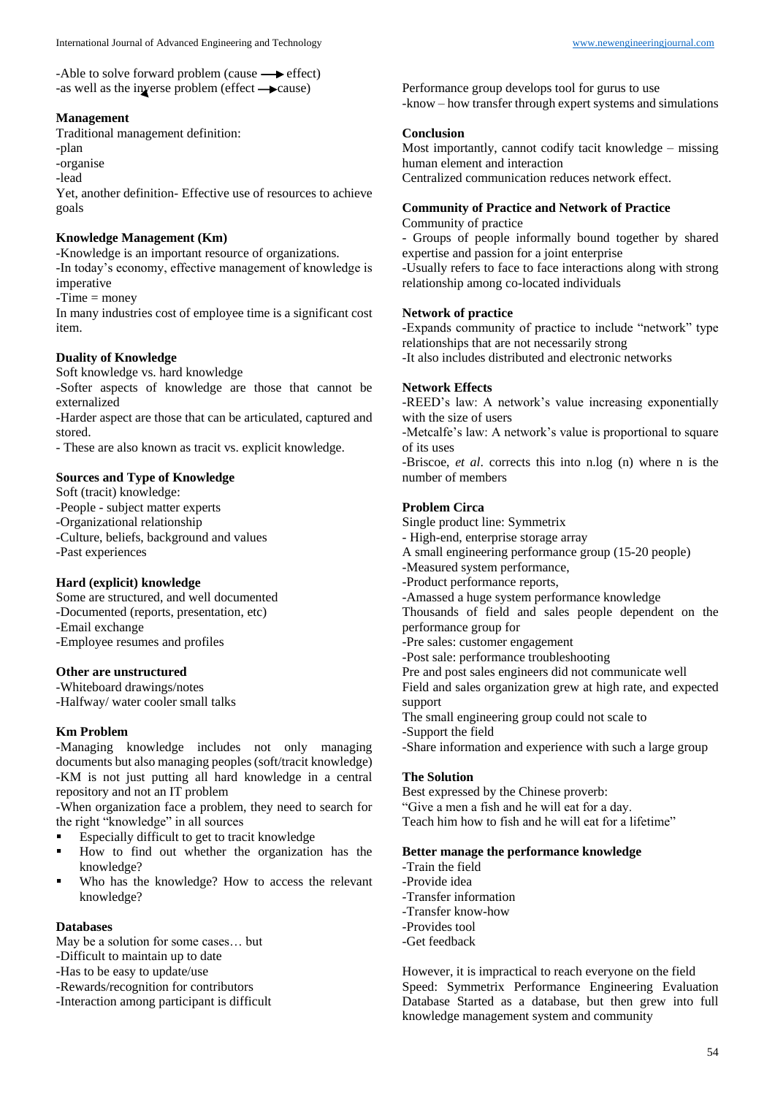-Able to solve forward problem (cause  $\longrightarrow$  effect) -as well as the inverse problem (effect  $\rightarrow$  cause)

### **Management**

Traditional management definition:

-plan

-organise

-lead

Yet, another definition- Effective use of resources to achieve goals

# **Knowledge Management (Km)**

-Knowledge is an important resource of organizations. -In today's economy, effective management of knowledge is

imperative

-Time = money

In many industries cost of employee time is a significant cost item.

# **Duality of Knowledge**

Soft knowledge vs. hard knowledge

-Softer aspects of knowledge are those that cannot be externalized

-Harder aspect are those that can be articulated, captured and stored.

- These are also known as tracit vs. explicit knowledge.

### **Sources and Type of Knowledge**

Soft (tracit) knowledge: -People - subject matter experts -Organizational relationship -Culture, beliefs, background and values -Past experiences

### **Hard (explicit) knowledge**

Some are structured, and well documented -Documented (reports, presentation, etc) -Email exchange -Employee resumes and profiles

### **Other are unstructured**

-Whiteboard drawings/notes -Halfway/ water cooler small talks

### **Km Problem**

-Managing knowledge includes not only managing documents but also managing peoples (soft/tracit knowledge) -KM is not just putting all hard knowledge in a central repository and not an IT problem

-When organization face a problem, they need to search for the right "knowledge" in all sources

- Especially difficult to get to tracit knowledge
- How to find out whether the organization has the knowledge?
- Who has the knowledge? How to access the relevant knowledge?

### **Databases**

May be a solution for some cases… but

- -Difficult to maintain up to date
- -Has to be easy to update/use
- -Rewards/recognition for contributors
- -Interaction among participant is difficult

Performance group develops tool for gurus to use -know – how transfer through expert systems and simulations

### **Conclusion**

Most importantly, cannot codify tacit knowledge – missing human element and interaction

Centralized communication reduces network effect.

# **Community of Practice and Network of Practice**

Community of practice

- Groups of people informally bound together by shared expertise and passion for a joint enterprise

-Usually refers to face to face interactions along with strong relationship among co-located individuals

### **Network of practice**

-Expands community of practice to include "network" type relationships that are not necessarily strong

-It also includes distributed and electronic networks

### **Network Effects**

-REED's law: A network's value increasing exponentially with the size of users

-Metcalfe's law: A network's value is proportional to square of its uses

-Briscoe, *et al*. corrects this into n.log (n) where n is the number of members

### **Problem Circa**

Single product line: Symmetrix

- High-end, enterprise storage array
- A small engineering performance group (15-20 people)
- -Measured system performance,
- -Product performance reports,
- -Amassed a huge system performance knowledge

Thousands of field and sales people dependent on the performance group for

- -Pre sales: customer engagement
- -Post sale: performance troubleshooting
- Pre and post sales engineers did not communicate well

Field and sales organization grew at high rate, and expected support

The small engineering group could not scale to

-Support the field

-Share information and experience with such a large group

### **The Solution**

Best expressed by the Chinese proverb: "Give a men a fish and he will eat for a day. Teach him how to fish and he will eat for a lifetime"

### **Better manage the performance knowledge**

- -Train the field
- -Provide idea
- -Transfer information
- -Transfer know-how
- -Provides tool
- -Get feedback

However, it is impractical to reach everyone on the field Speed: Symmetrix Performance Engineering Evaluation Database Started as a database, but then grew into full knowledge management system and community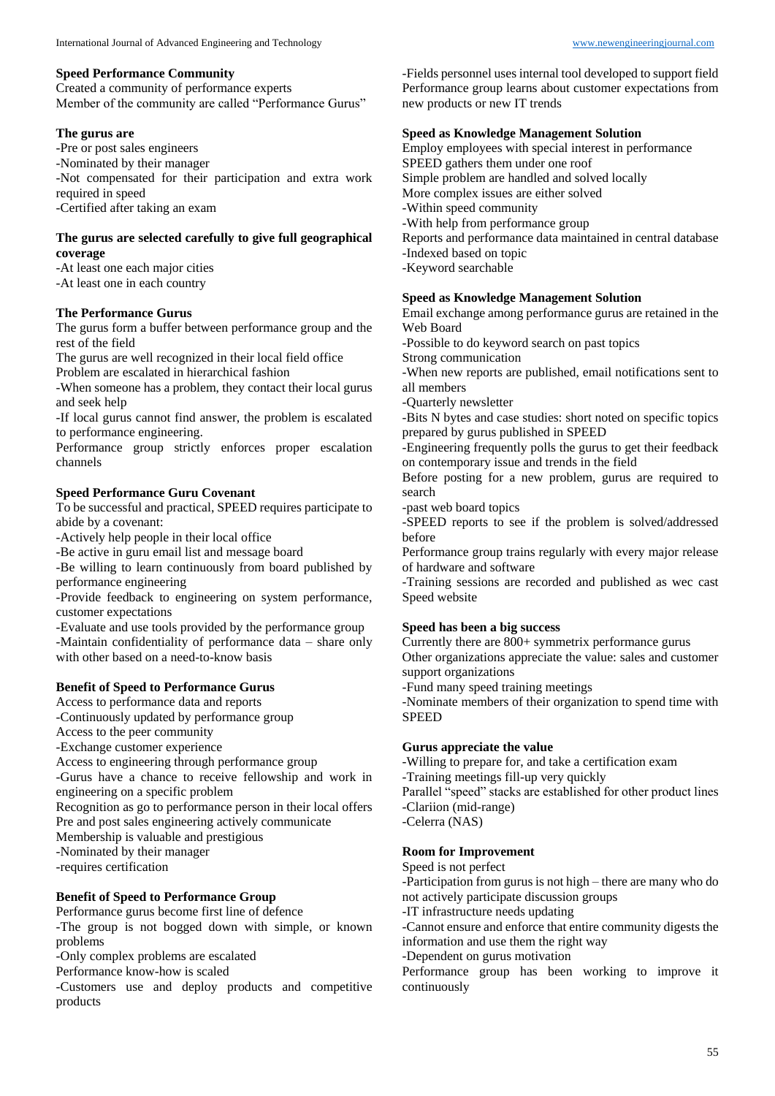Created a community of performance experts Member of the community are called "Performance Gurus"

### **The gurus are**

-Pre or post sales engineers

-Nominated by their manager

-Not compensated for their participation and extra work required in speed

-Certified after taking an exam

### **The gurus are selected carefully to give full geographical coverage**

-At least one each major cities -At least one in each country

### **The Performance Gurus**

The gurus form a buffer between performance group and the rest of the field

The gurus are well recognized in their local field office

Problem are escalated in hierarchical fashion

-When someone has a problem, they contact their local gurus and seek help

-If local gurus cannot find answer, the problem is escalated to performance engineering.

Performance group strictly enforces proper escalation channels

# **Speed Performance Guru Covenant**

To be successful and practical, SPEED requires participate to abide by a covenant:

-Actively help people in their local office

-Be active in guru email list and message board

-Be willing to learn continuously from board published by performance engineering

-Provide feedback to engineering on system performance, customer expectations

-Evaluate and use tools provided by the performance group -Maintain confidentiality of performance data – share only with other based on a need-to-know basis

# **Benefit of Speed to Performance Gurus**

Access to performance data and reports

-Continuously updated by performance group

Access to the peer community

-Exchange customer experience

Access to engineering through performance group

-Gurus have a chance to receive fellowship and work in engineering on a specific problem

Recognition as go to performance person in their local offers

Pre and post sales engineering actively communicate

Membership is valuable and prestigious

-Nominated by their manager

-requires certification

# **Benefit of Speed to Performance Group**

Performance gurus become first line of defence

-The group is not bogged down with simple, or known problems

-Only complex problems are escalated

Performance know-how is scaled

-Customers use and deploy products and competitive products

-Fields personnel uses internal tool developed to support field Performance group learns about customer expectations from new products or new IT trends

### **Speed as Knowledge Management Solution**

Employ employees with special interest in performance SPEED gathers them under one roof Simple problem are handled and solved locally More complex issues are either solved -Within speed community -With help from performance group Reports and performance data maintained in central database -Indexed based on topic -Keyword searchable

# **Speed as Knowledge Management Solution**

Email exchange among performance gurus are retained in the Web Board

-Possible to do keyword search on past topics

Strong communication

-When new reports are published, email notifications sent to all members

-Quarterly newsletter

-Bits N bytes and case studies: short noted on specific topics prepared by gurus published in SPEED

-Engineering frequently polls the gurus to get their feedback on contemporary issue and trends in the field

Before posting for a new problem, gurus are required to search

-past web board topics

-SPEED reports to see if the problem is solved/addressed before

Performance group trains regularly with every major release of hardware and software

-Training sessions are recorded and published as wec cast Speed website

### **Speed has been a big success**

Currently there are 800+ symmetrix performance gurus Other organizations appreciate the value: sales and customer support organizations

-Fund many speed training meetings

-Nominate members of their organization to spend time with **SPEED** 

### **Gurus appreciate the value**

-Willing to prepare for, and take a certification exam -Training meetings fill-up very quickly

Parallel "speed" stacks are established for other product lines -Clariion (mid-range)

-Celerra (NAS)

### **Room for Improvement**

Speed is not perfect

-Participation from gurus is not high – there are many who do not actively participate discussion groups

-IT infrastructure needs updating

-Cannot ensure and enforce that entire community digests the information and use them the right way

-Dependent on gurus motivation

Performance group has been working to improve it continuously